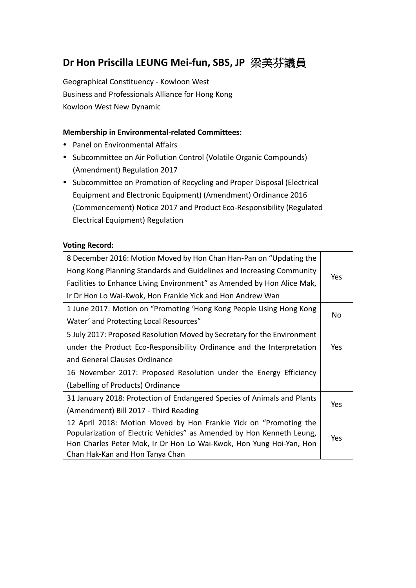# **Dr Hon Priscilla LEUNG Mei-fun, SBS, JP** 梁美芬議員

Geographical Constituency - Kowloon West Business and Professionals Alliance for Hong Kong Kowloon West New Dynamic

#### **Membership in Environmental-related Committees:**

- Panel on Environmental Affairs
- Subcommittee on Air Pollution Control (Volatile Organic Compounds) (Amendment) Regulation 2017
- Subcommittee on Promotion of Recycling and Proper Disposal (Electrical Equipment and Electronic Equipment) (Amendment) Ordinance 2016 (Commencement) Notice 2017 and Product Eco-Responsibility (Regulated Electrical Equipment) Regulation

#### **Voting Record:**

| 8 December 2016: Motion Moved by Hon Chan Han-Pan on "Updating the      |            |  |
|-------------------------------------------------------------------------|------------|--|
| Hong Kong Planning Standards and Guidelines and Increasing Community    | Yes        |  |
| Facilities to Enhance Living Environment" as Amended by Hon Alice Mak,  |            |  |
| Ir Dr Hon Lo Wai-Kwok, Hon Frankie Yick and Hon Andrew Wan              |            |  |
| 1 June 2017: Motion on "Promoting 'Hong Kong People Using Hong Kong     |            |  |
| Water' and Protecting Local Resources"                                  | No         |  |
| 5 July 2017: Proposed Resolution Moved by Secretary for the Environment |            |  |
| under the Product Eco-Responsibility Ordinance and the Interpretation   |            |  |
| and General Clauses Ordinance                                           |            |  |
| 16 November 2017: Proposed Resolution under the Energy Efficiency       |            |  |
| (Labelling of Products) Ordinance                                       |            |  |
| 31 January 2018: Protection of Endangered Species of Animals and Plants |            |  |
| (Amendment) Bill 2017 - Third Reading                                   | Yes        |  |
| 12 April 2018: Motion Moved by Hon Frankie Yick on "Promoting the       |            |  |
| Popularization of Electric Vehicles" as Amended by Hon Kenneth Leung,   | <b>Yes</b> |  |
| Hon Charles Peter Mok, Ir Dr Hon Lo Wai-Kwok, Hon Yung Hoi-Yan, Hon     |            |  |
| Chan Hak-Kan and Hon Tanya Chan                                         |            |  |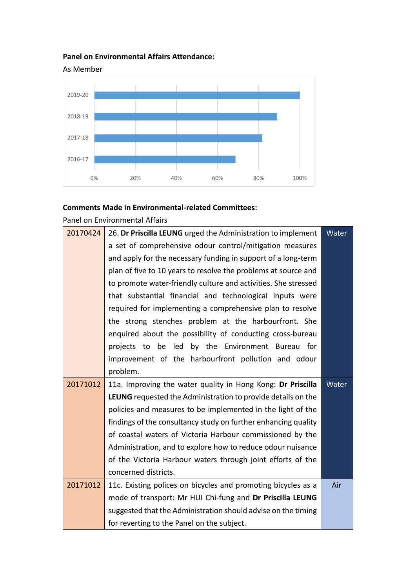### **Panel on Environmental Affairs Attendance:**



## **Comments Made in Environmental-related Committees:**

Panel on Environmental Affairs

| 20170424 | 26. Dr Priscilla LEUNG urged the Administration to implement<br>Water |       |  |  |  |  |
|----------|-----------------------------------------------------------------------|-------|--|--|--|--|
|          | a set of comprehensive odour control/mitigation measures              |       |  |  |  |  |
|          | and apply for the necessary funding in support of a long-term         |       |  |  |  |  |
|          | plan of five to 10 years to resolve the problems at source and        |       |  |  |  |  |
|          | to promote water-friendly culture and activities. She stressed        |       |  |  |  |  |
|          | that substantial financial and technological inputs were              |       |  |  |  |  |
|          | required for implementing a comprehensive plan to resolve             |       |  |  |  |  |
|          | the strong stenches problem at the harbourfront. She                  |       |  |  |  |  |
|          | enquired about the possibility of conducting cross-bureau             |       |  |  |  |  |
|          | projects to be led by the Environment Bureau for                      |       |  |  |  |  |
|          | improvement of the harbourfront pollution and odour                   |       |  |  |  |  |
|          | problem.                                                              |       |  |  |  |  |
| 20171012 | 11a. Improving the water quality in Hong Kong: Dr Priscilla           | Water |  |  |  |  |
|          | LEUNG requested the Administration to provide details on the          |       |  |  |  |  |
|          | policies and measures to be implemented in the light of the           |       |  |  |  |  |
|          | findings of the consultancy study on further enhancing quality        |       |  |  |  |  |
|          | of coastal waters of Victoria Harbour commissioned by the             |       |  |  |  |  |
|          | Administration, and to explore how to reduce odour nuisance           |       |  |  |  |  |
|          | of the Victoria Harbour waters through joint efforts of the           |       |  |  |  |  |
|          | concerned districts.                                                  |       |  |  |  |  |
| 20171012 | 11c. Existing polices on bicycles and promoting bicycles as a         | Air   |  |  |  |  |
|          | mode of transport: Mr HUI Chi-fung and Dr Priscilla LEUNG             |       |  |  |  |  |
|          | suggested that the Administration should advise on the timing         |       |  |  |  |  |
|          | for reverting to the Panel on the subject.                            |       |  |  |  |  |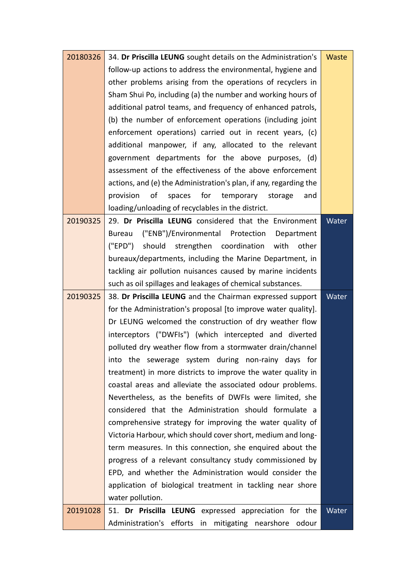| 20180326 | 34. Dr Priscilla LEUNG sought details on the Administration's<br>Waste |       |  |  |  |  |
|----------|------------------------------------------------------------------------|-------|--|--|--|--|
|          | follow-up actions to address the environmental, hygiene and            |       |  |  |  |  |
|          | other problems arising from the operations of recyclers in             |       |  |  |  |  |
|          | Sham Shui Po, including (a) the number and working hours of            |       |  |  |  |  |
|          | additional patrol teams, and frequency of enhanced patrols,            |       |  |  |  |  |
|          | (b) the number of enforcement operations (including joint              |       |  |  |  |  |
|          | enforcement operations) carried out in recent years, (c)               |       |  |  |  |  |
|          | additional manpower, if any, allocated to the relevant                 |       |  |  |  |  |
|          | government departments for the above purposes, (d)                     |       |  |  |  |  |
|          | assessment of the effectiveness of the above enforcement               |       |  |  |  |  |
|          | actions, and (e) the Administration's plan, if any, regarding the      |       |  |  |  |  |
|          | of<br>for<br>provision<br>spaces<br>temporary<br>storage<br>and        |       |  |  |  |  |
|          | loading/unloading of recyclables in the district.                      |       |  |  |  |  |
| 20190325 | 29. Dr Priscilla LEUNG considered that the Environment                 | Water |  |  |  |  |
|          | ("ENB")/Environmental Protection<br>Bureau<br>Department               |       |  |  |  |  |
|          | ("EPD")<br>should strengthen coordination<br>other<br>with             |       |  |  |  |  |
|          | bureaux/departments, including the Marine Department, in               |       |  |  |  |  |
|          | tackling air pollution nuisances caused by marine incidents            |       |  |  |  |  |
|          | such as oil spillages and leakages of chemical substances.             |       |  |  |  |  |
| 20190325 | 38. Dr Priscilla LEUNG and the Chairman expressed support              |       |  |  |  |  |
|          | for the Administration's proposal [to improve water quality].          |       |  |  |  |  |
|          | Dr LEUNG welcomed the construction of dry weather flow                 |       |  |  |  |  |
|          | interceptors ("DWFIs") (which intercepted and diverted                 |       |  |  |  |  |
|          | polluted dry weather flow from a stormwater drain/channel              |       |  |  |  |  |
|          | into the sewerage system during non-rainy days<br>for                  |       |  |  |  |  |
|          | treatment) in more districts to improve the water quality in           |       |  |  |  |  |
|          | coastal areas and alleviate the associated odour problems.             |       |  |  |  |  |
|          | Nevertheless, as the benefits of DWFIs were limited, she               |       |  |  |  |  |
|          | considered that the Administration should formulate a                  |       |  |  |  |  |
|          | comprehensive strategy for improving the water quality of              |       |  |  |  |  |
|          | Victoria Harbour, which should cover short, medium and long-           |       |  |  |  |  |
|          | term measures. In this connection, she enquired about the              |       |  |  |  |  |
|          | progress of a relevant consultancy study commissioned by               |       |  |  |  |  |
|          | EPD, and whether the Administration would consider the                 |       |  |  |  |  |
|          | application of biological treatment in tackling near shore             |       |  |  |  |  |
|          | water pollution.                                                       |       |  |  |  |  |
| 20191028 | 51. Dr Priscilla LEUNG expressed appreciation for the                  | Water |  |  |  |  |
|          | Administration's efforts<br>mitigating nearshore<br>in<br>odour        |       |  |  |  |  |